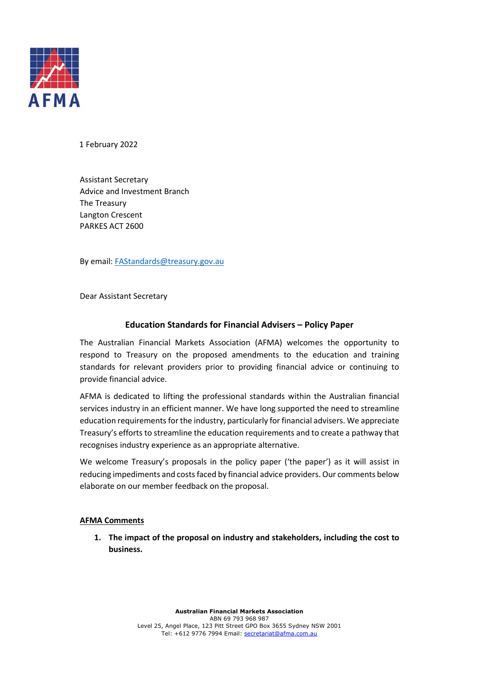

1 February 2022

Assistant Secretary Advice and Investment Branch The Treasury Langton Crescent PARKES ACT 2600

By email[: FAStandards@treasury.gov.au](mailto:FAStandards@treasury.gov.au)

Dear Assistant Secretary

## **Education Standards for Financial Advisers – Policy Paper**

The Australian Financial Markets Association (AFMA) welcomes the opportunity to respond to Treasury on the proposed amendments to the education and training standards for relevant providers prior to providing financial advice or continuing to provide financial advice.

AFMA is dedicated to lifting the professional standards within the Australian financial services industry in an efficient manner. We have long supported the need to streamline education requirements for the industry, particularly for financial advisers. We appreciate Treasury's efforts to streamline the education requirements and to create a pathway that recognises industry experience as an appropriate alternative.

We welcome Treasury's proposals in the policy paper ('the paper') as it will assist in reducing impediments and costs faced by financial advice providers. Our comments below elaborate on our member feedback on the proposal.

### **AFMA Comments**

**1. The impact of the proposal on industry and stakeholders, including the cost to business.**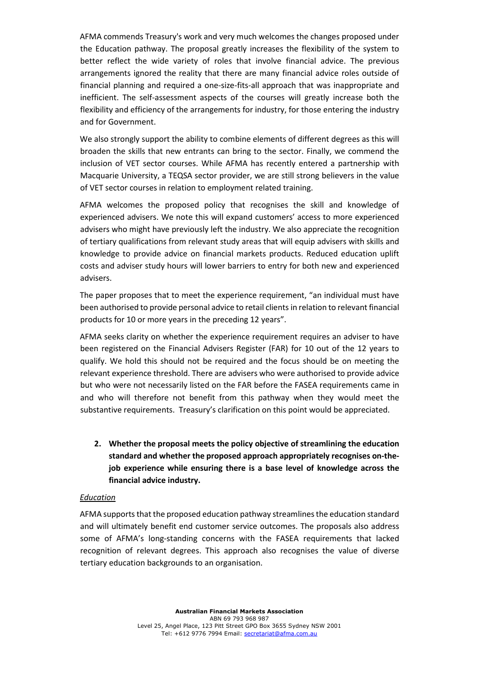AFMA commends Treasury's work and very much welcomes the changes proposed under the Education pathway. The proposal greatly increases the flexibility of the system to better reflect the wide variety of roles that involve financial advice. The previous arrangements ignored the reality that there are many financial advice roles outside of financial planning and required a one-size-fits-all approach that was inappropriate and inefficient. The self-assessment aspects of the courses will greatly increase both the flexibility and efficiency of the arrangements for industry, for those entering the industry and for Government.

We also strongly support the ability to combine elements of different degrees as this will broaden the skills that new entrants can bring to the sector. Finally, we commend the inclusion of VET sector courses. While AFMA has recently entered a partnership with Macquarie University, a TEQSA sector provider, we are still strong believers in the value of VET sector courses in relation to employment related training.

AFMA welcomes the proposed policy that recognises the skill and knowledge of experienced advisers. We note this will expand customers' access to more experienced advisers who might have previously left the industry. We also appreciate the recognition of tertiary qualifications from relevant study areas that will equip advisers with skills and knowledge to provide advice on financial markets products. Reduced education uplift costs and adviser study hours will lower barriers to entry for both new and experienced advisers.

The paper proposes that to meet the experience requirement, "an individual must have been authorised to provide personal advice to retail clients in relation to relevant financial products for 10 or more years in the preceding 12 years".

AFMA seeks clarity on whether the experience requirement requires an adviser to have been registered on the Financial Advisers Register (FAR) for 10 out of the 12 years to qualify. We hold this should not be required and the focus should be on meeting the relevant experience threshold. There are advisers who were authorised to provide advice but who were not necessarily listed on the FAR before the FASEA requirements came in and who will therefore not benefit from this pathway when they would meet the substantive requirements. Treasury's clarification on this point would be appreciated.

**2. Whether the proposal meets the policy objective of streamlining the education standard and whether the proposed approach appropriately recognises on-thejob experience while ensuring there is a base level of knowledge across the financial advice industry.**

### *Education*

AFMA supports that the proposed education pathway streamlines the education standard and will ultimately benefit end customer service outcomes. The proposals also address some of AFMA's long-standing concerns with the FASEA requirements that lacked recognition of relevant degrees. This approach also recognises the value of diverse tertiary education backgrounds to an organisation.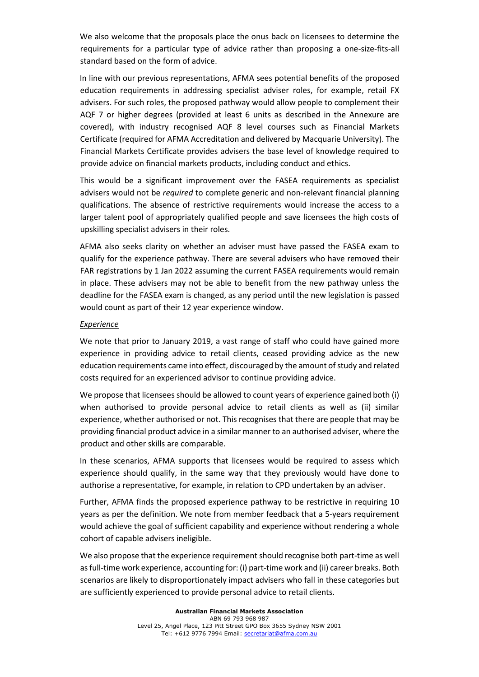We also welcome that the proposals place the onus back on licensees to determine the requirements for a particular type of advice rather than proposing a one-size-fits-all standard based on the form of advice.

In line with our previous representations, AFMA sees potential benefits of the proposed education requirements in addressing specialist adviser roles, for example, retail FX advisers. For such roles, the proposed pathway would allow people to complement their AQF 7 or higher degrees (provided at least 6 units as described in the Annexure are covered), with industry recognised AQF 8 level courses such as Financial Markets Certificate (required for AFMA Accreditation and delivered by Macquarie University). The Financial Markets Certificate provides advisers the base level of knowledge required to provide advice on financial markets products, including conduct and ethics.

This would be a significant improvement over the FASEA requirements as specialist advisers would not be *required* to complete generic and non-relevant financial planning qualifications. The absence of restrictive requirements would increase the access to a larger talent pool of appropriately qualified people and save licensees the high costs of upskilling specialist advisers in their roles.

AFMA also seeks clarity on whether an adviser must have passed the FASEA exam to qualify for the experience pathway. There are several advisers who have removed their FAR registrations by 1 Jan 2022 assuming the current FASEA requirements would remain in place. These advisers may not be able to benefit from the new pathway unless the deadline for the FASEA exam is changed, as any period until the new legislation is passed would count as part of their 12 year experience window.

#### *Experience*

We note that prior to January 2019, a vast range of staff who could have gained more experience in providing advice to retail clients, ceased providing advice as the new education requirements came into effect, discouraged by the amount of study and related costs required for an experienced advisor to continue providing advice.

We propose that licensees should be allowed to count years of experience gained both (i) when authorised to provide personal advice to retail clients as well as (ii) similar experience, whether authorised or not. This recognises that there are people that may be providing financial product advice in a similar manner to an authorised adviser, where the product and other skills are comparable.

In these scenarios, AFMA supports that licensees would be required to assess which experience should qualify, in the same way that they previously would have done to authorise a representative, for example, in relation to CPD undertaken by an adviser.

Further, AFMA finds the proposed experience pathway to be restrictive in requiring 10 years as per the definition. We note from member feedback that a 5-years requirement would achieve the goal of sufficient capability and experience without rendering a whole cohort of capable advisers ineligible.

We also propose that the experience requirement should recognise both part-time as well as full-time work experience, accounting for: (i) part-time work and (ii) career breaks. Both scenarios are likely to disproportionately impact advisers who fall in these categories but are sufficiently experienced to provide personal advice to retail clients.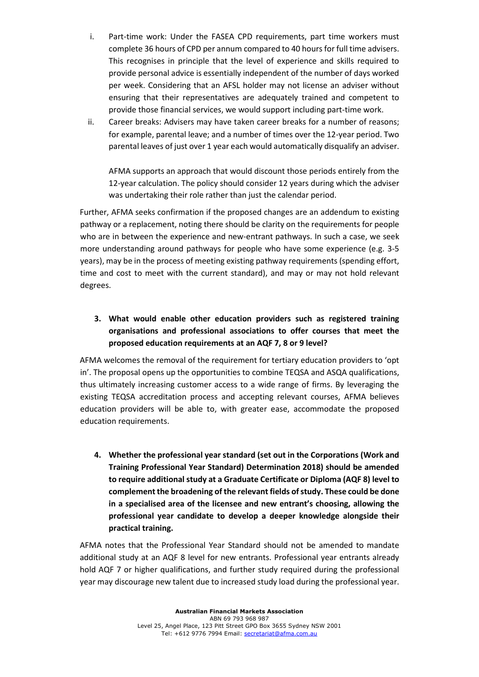- i. Part-time work: Under the FASEA CPD requirements, part time workers must complete 36 hours of CPD per annum compared to 40 hours for full time advisers. This recognises in principle that the level of experience and skills required to provide personal advice is essentially independent of the number of days worked per week. Considering that an AFSL holder may not license an adviser without ensuring that their representatives are adequately trained and competent to provide those financial services, we would support including part-time work.
- ii. Career breaks: Advisers may have taken career breaks for a number of reasons; for example, parental leave; and a number of times over the 12-year period. Two parental leaves of just over 1 year each would automatically disqualify an adviser.

AFMA supports an approach that would discount those periods entirely from the 12-year calculation. The policy should consider 12 years during which the adviser was undertaking their role rather than just the calendar period.

Further, AFMA seeks confirmation if the proposed changes are an addendum to existing pathway or a replacement, noting there should be clarity on the requirements for people who are in between the experience and new-entrant pathways. In such a case, we seek more understanding around pathways for people who have some experience (e.g. 3-5 years), may be in the process of meeting existing pathway requirements (spending effort, time and cost to meet with the current standard), and may or may not hold relevant degrees.

# **3. What would enable other education providers such as registered training organisations and professional associations to offer courses that meet the proposed education requirements at an AQF 7, 8 or 9 level?**

AFMA welcomes the removal of the requirement for tertiary education providers to 'opt in'. The proposal opens up the opportunities to combine TEQSA and ASQA qualifications, thus ultimately increasing customer access to a wide range of firms. By leveraging the existing TEQSA accreditation process and accepting relevant courses, AFMA believes education providers will be able to, with greater ease, accommodate the proposed education requirements.

**4. Whether the professional year standard (set out in the Corporations (Work and Training Professional Year Standard) Determination 2018) should be amended to require additional study at a Graduate Certificate or Diploma (AQF 8) level to complement the broadening of the relevant fields of study. These could be done in a specialised area of the licensee and new entrant's choosing, allowing the professional year candidate to develop a deeper knowledge alongside their practical training.**

AFMA notes that the Professional Year Standard should not be amended to mandate additional study at an AQF 8 level for new entrants. Professional year entrants already hold AQF 7 or higher qualifications, and further study required during the professional year may discourage new talent due to increased study load during the professional year.